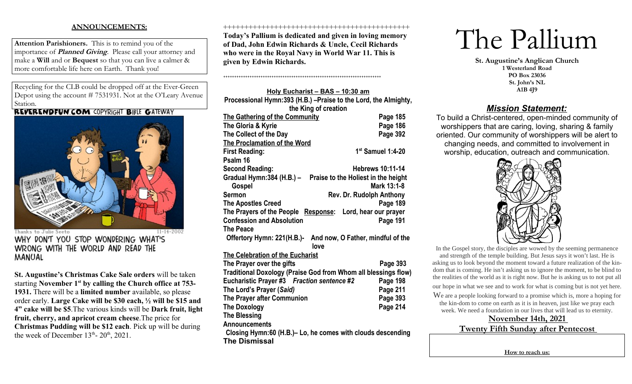# **ANNOUNCEMENTS:**

**Attention Parishioners.** This is to remind you of the importance of **Planned Giving**. Please call your attorney and make a **Will** and or **Bequest** so that you can live a calmer & more comfortable life here on Earth. Thank you!

Recycling for the CLB could be dropped off at the Ever-Green Depot using the account # 7531931. Not at the O'Leary Avenue Station.<br>REVERENDFUN.COM COPYRIGHT BIBLE GATEWAY



 $11 - 14 - 2002$ Thanks to Julie Seeto WHY DON'T YOU STOP WONDERING WHAT'S WRONG WITH THE WORLD AND READ THE **MANUAL** 

**St. Augustine's Christmas Cake Sale orders** will be taken starting **November 1st by calling the Church office at 753- 1931.** There will be a **limited number** available, so please order early. **Large Cake will be \$30 each, ½ will be \$15 and 4" cake will be \$5**.The various kinds will be **Dark fruit, light fruit, cherry, and apricot cream cheese**.The price for **Christmas Pudding will be \$12 each**. Pick up will be during the week of December  $13<sup>th</sup>$ -  $20<sup>th</sup>$ ,  $2021$ .

#### ++++++++++++++++++++++++++++++++++++++++++++

**Today's Pallium is dedicated and given in loving memory of Dad, John Edwin Richards & Uncle, Cecil Richards who were in the Royal Navy in World War 11. This is given by Edwin Richards.**

++++++++++++++++++++++++++++++++++++++++++++++++++++++++++++++++++++++++

**Holy Eucharist – BAS – 10:30 am Processional Hymn:393 (H.B.) –Praise to the Lord, the Almighty, the King of creation The Gathering of the Community Page 185** The Gloria & Kyrie **Page 186 The Collect of the Day Page 392 The Proclamation of the Word First Reading:** 1:4-20 **1st** Samuel 1:4-20 **Psalm 16 Second Reading: Hebrews 10:11-14 Gradual Hymn:384 (H.B.) – Praise to the Holiest in the height Gospel Mark 13:1-8 Sermon** Rev. Dr. Rudolph Anthony **The Apostles Creed Page 189 The Prayers of the People Response: Lord, hear our prayer Confession and Absolution Confession and Absolution The Peace Offertory Hymn: 221(H.B.)- And now, O Father, mindful of the love The Celebration of the Eucharist The Prayer over the gifts Page 393 Traditional Doxology (Praise God from Whom all blessings flow) Eucharistic Prayer #3** *Fraction sentence #2* **Page 198 The Lord's Prayer (***Said)* **Page 211 The Prayer after Communion Page 393 The Doxology Page 214 The Blessing Announcements Closing Hymn:60 (H.B.)– Lo, he comes with clouds descending The Dismissal**

# The Pallium

**St. Augustine's Anglican Church 1 Westerland Road PO Box 23036 St. John's NL A1B 4J9**

# *Mission Statement:*

To build a Christ-centered, open-minded community of worshippers that are caring, loving, sharing & family oriented. Our community of worshippers will be alert to changing needs, and committed to involvement in worship, education, outreach and communication.



In the Gospel story, the disciples are wowed by the seeming permanence and strength of the temple building. But Jesus says it won't last. He is asking us to look beyond the moment toward a future realization of the kindom that is coming. He isn't asking us to ignore the moment, to be blind to the realities of the world as it is right now. But he is asking us to not put all our hope in what we see and to work for what is coming but is not yet here.

We are a people looking forward to a promise which is, more a hoping for the kin-dom to come on earth as it is in heaven, just like we pray each week. We need a foundation in our lives that will lead us to eternity.

> **November 14th, 2021 Twenty Fifth Sunday after Pentecost**

> > **How to reach us:**